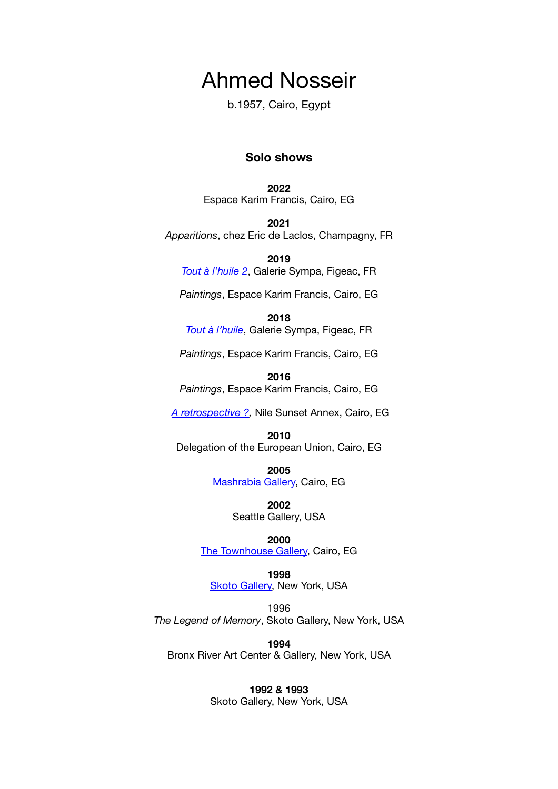# Ahmed Nosseir

b.1957, Cairo, Egypt

## **Solo shows**

**2022**  Espace Karim Francis, Cairo, EG

**2021**  *Apparitions*, chez Eric de Laclos, Champagny, FR

**2019**  *[Tout à l'huile 2](http://galerie-sympa.fr/ahmed-nosseir-3/)*, Galerie Sympa, Figeac, FR

*Paintings*, Espace Karim Francis, Cairo, EG

**2018** 

*[Tout à l'huile](http://galerie-sympa.fr/ahmed-nosseir/)*, Galerie Sympa, Figeac, FR

*Paintings*, Espace Karim Francis, Cairo, EG

**2016** 

*Paintings*, Espace Karim Francis, Cairo, EG

*[A retrospective ?,](http://nilesunsetannex.org/past/nosseir.html)* Nile Sunset Annex, Cairo, EG

**2010**  Delegation of the European Union, Cairo, EG

> **2005**  [Mashrabia Gallery,](http://www.mashrabiagallery.com/) Cairo, EG

> > **2002**  Seattle Gallery, USA

> > > **2000**

[The Townhouse Gallery,](http://www.thetownhousegallery.com/) Cairo, EG

**1998 [Skoto Gallery,](https://www.skotogallery.com/) New York, USA** 

1996 *The Legend of Memory*, Skoto Gallery, New York, USA

**1994**  Bronx River Art Center & Gallery, New York, USA

> **1992 & 1993**  Skoto Gallery, New York, USA